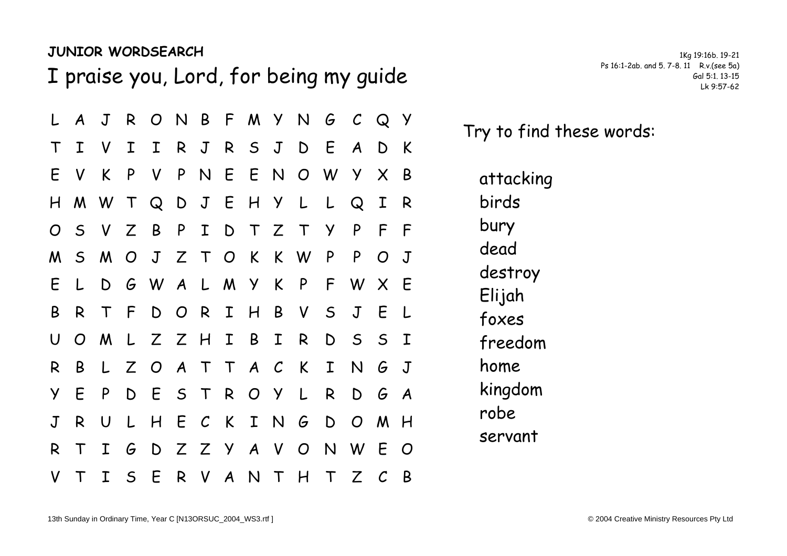## **JUNIOR WORDSEARCH** 1849 19:16b. 19-21

I praise you, Lord, for being my guide Ps 16:1-2ab. and 5. 7-8. 11 R.v.(see 5a)

|                | L A          | J                         |              |          |  |  |             |                   |              | R O N B F M Y N G C Q Y   |              |     |  |
|----------------|--------------|---------------------------|--------------|----------|--|--|-------------|-------------------|--------------|---------------------------|--------------|-----|--|
| $\top$         | $\mathbf{I}$ |                           | V I          |          |  |  |             | I R J R S J D E   |              | $\mathcal{A}$             | D K          |     |  |
| E              | $\mathsf{V}$ | K                         | $\mathsf{P}$ |          |  |  |             |                   |              | V P N E E N O W Y X       |              | - B |  |
|                |              | H M W T Q D J E H Y L L Q |              |          |  |  |             |                   |              |                           | $\mathbf{I}$ | R   |  |
| $\overline{O}$ |              | S V Z B P I D T Z T       |              |          |  |  |             |                   | <sup>y</sup> | $\mathsf{P}$              | $\mathsf{F}$ | - F |  |
|                |              |                           |              |          |  |  |             |                   |              | M S M O J Z T O K K W P P | $O$ J        |     |  |
| E.             | L            |                           |              |          |  |  |             | D G W A L M Y K P |              | F W X                     |              | - E |  |
| B              | R            |                           |              |          |  |  |             |                   |              | T F D O R I H B V S J     | E            | L.  |  |
| U              |              | OMLZZHIB                  |              |          |  |  | $\mathbf I$ | $\mathsf{R}$      |              | D S S I                   |              |     |  |
| R.             | B            |                           |              |          |  |  |             |                   |              | L Z O A T T A C K I N G J |              |     |  |
| Y.             | E            | $\mathsf{P}$              |              | DESTROYL |  |  |             |                   | R            |                           | $D$ $G$ $A$  |     |  |
| $\mathbf J$    | R            | U                         |              |          |  |  |             |                   |              | L H E C K I N G D O M H   |              |     |  |
| R.             | $\top$       | $\mathbf I$               |              |          |  |  |             |                   |              | G D Z Z Y A V O N W E O   |              |     |  |
|                | V T          | $\mathbf{I}$              |              |          |  |  |             |                   |              | S E R V A N T H T Z C     |              | - B |  |

Try to find these words:

attacking birds bury dead destroy Elijah foxes freedom home kingdom robe servant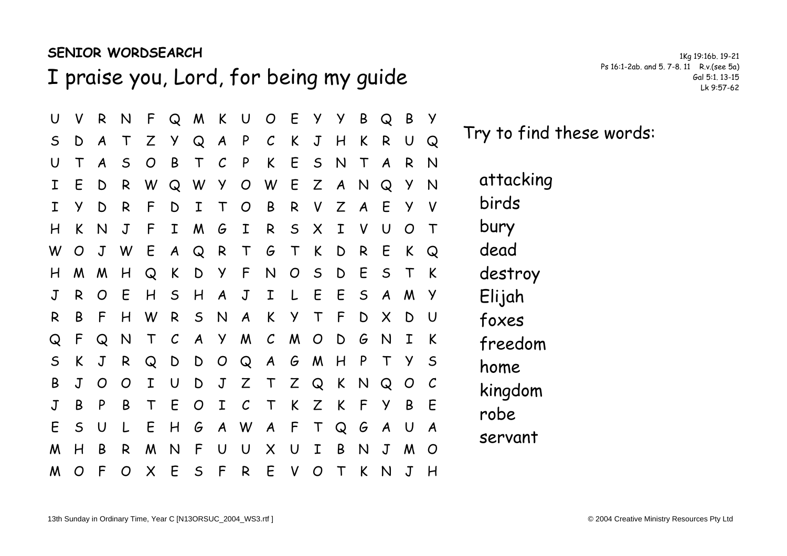## **SENIOR WORDSEARCH** 184 19:16b. 19-21

I praise you, Lord, for being my guide Ps 16:1-2ab. and 5. 7-8. 11 R.v.(see 5a)

U V R N F Q M K U O E Y Y B Q B Y S D A T Z Y Q A P C K J H K R U Q U T A S O B T C P K E S N T A R N I E D R W Q W Y O W E Z A N Q Y N I Y D R F D I T O B R V Z A E Y V H K N J F I M G I R S X I V U O T W O J W E A Q R T G T K D R E K Q H M M H Q K D Y F N O S D E S T K J R O E H S H A J I L E E S A M Y R B F H W R S N A K Y T F D X D U Q F Q N T C A Y M C M O D G N I K S K J R Q D D O Q A G M H P T Y S B J O O I U D J Z T Z Q K N Q O C J B P B T E O I C T K Z K F Y B E E S U L E H G A W A F T Q G A U A M H B R M N F U U X U I B N J M O M O F O X E S F R E V O T K N J H

Try to find these words:

attacking birds bury dead destroy Elijah foxes freedom home kingdom robe servant